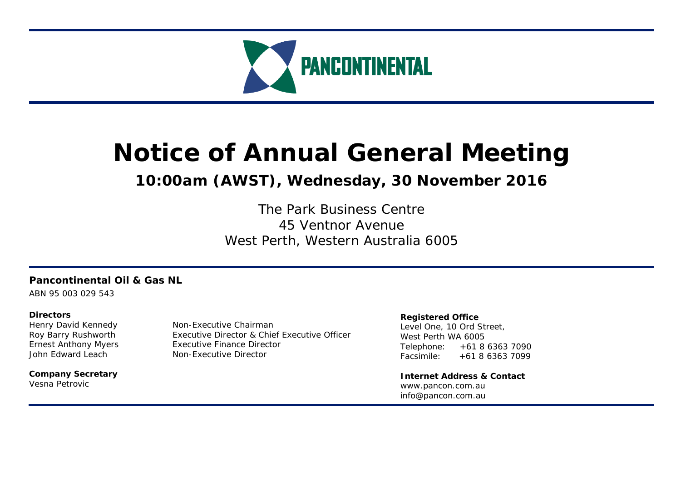

# **Notice of Annual General Meeting**

# **10:00am (AWST), Wednesday, 30 November 2016**

The Park Business Centre 45 Ventnor Avenue West Perth, Western Australia 6005

# **Pancontinental Oil & Gas NL**

ABN 95 003 029 543

# **Directors**

**Company Secretary**  Vesna Petrovic

Henry David Kennedy Non-Executive Chairman Roy Barry Rushworth Executive Director & Chief Executive Officer Ernest Anthony Myers Executive Finance Director John Edward Leach Non-Executive Director

# **Registered Office**

Level One, 10 Ord Street, West Perth WA 6005 Telephone: +61 8 6363 7090 Facsimile: +61 8 6363 7099

**Internet Address & Contact** www.pancon.com.au info@pancon.com.au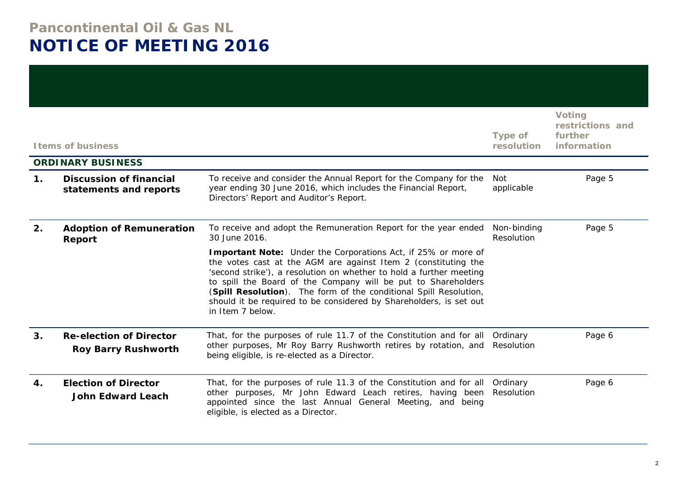# **Pancontinental Oil & Gas NL NOTICE OF MEETING 2016**

|               | <b>Items of business</b>                                     |                                                                                                                                                                                                                                                                                                                                                                                                                                        | <b>Type of</b><br>resolution | <b>Voting</b><br>restrictions and<br>further<br>information |
|---------------|--------------------------------------------------------------|----------------------------------------------------------------------------------------------------------------------------------------------------------------------------------------------------------------------------------------------------------------------------------------------------------------------------------------------------------------------------------------------------------------------------------------|------------------------------|-------------------------------------------------------------|
|               | <b>ORDINARY BUSINESS</b>                                     |                                                                                                                                                                                                                                                                                                                                                                                                                                        |                              |                                                             |
| $\mathbf 1$ . | <b>Discussion of financial</b><br>statements and reports     | To receive and consider the Annual Report for the Company for the<br>year ending 30 June 2016, which includes the Financial Report,<br>Directors' Report and Auditor's Report.                                                                                                                                                                                                                                                         | <b>Not</b><br>applicable     | Page 5                                                      |
| 2.            | <b>Adoption of Remuneration</b><br>Report                    | To receive and adopt the Remuneration Report for the year ended<br>30 June 2016.                                                                                                                                                                                                                                                                                                                                                       | Non-binding<br>Resolution    | Page 5                                                      |
|               |                                                              | Important Note: Under the Corporations Act, if 25% or more of<br>the votes cast at the AGM are against Item 2 (constituting the<br>'second strike'), a resolution on whether to hold a further meeting<br>to spill the Board of the Company will be put to Shareholders<br>(Spill Resolution). The form of the conditional Spill Resolution,<br>should it be required to be considered by Shareholders, is set out<br>in Item 7 below. |                              |                                                             |
| 3.            | <b>Re-election of Director</b><br><b>Roy Barry Rushworth</b> | That, for the purposes of rule 11.7 of the Constitution and for all Ordinary<br>other purposes, Mr Roy Barry Rushworth retires by rotation, and<br>being eligible, is re-elected as a Director.                                                                                                                                                                                                                                        | Resolution                   | Page 6                                                      |
| 4.            | <b>Election of Director</b><br><b>John Edward Leach</b>      | That, for the purposes of rule 11.3 of the Constitution and for all Ordinary<br>other purposes, Mr John Edward Leach retires, having been<br>appointed since the last Annual General Meeting, and being<br>eligible, is elected as a Director.                                                                                                                                                                                         | Resolution                   | Page 6                                                      |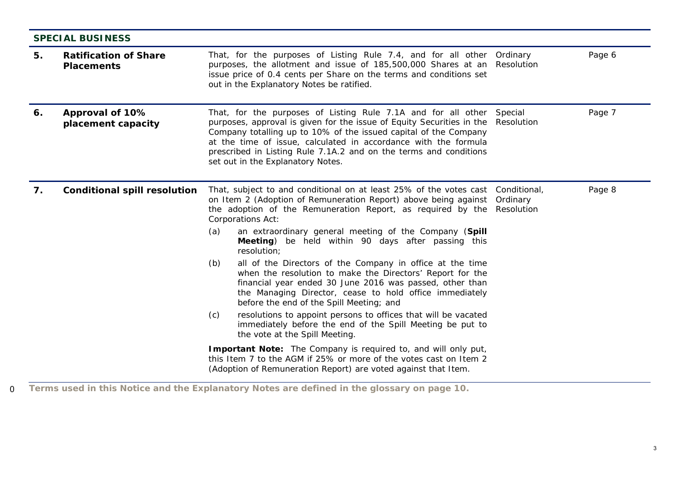|    | <b>SPECIAL BUSINESS</b>                           |     |                                                                                                                                                                                                                                                                                                                                                                                         |                                        |        |
|----|---------------------------------------------------|-----|-----------------------------------------------------------------------------------------------------------------------------------------------------------------------------------------------------------------------------------------------------------------------------------------------------------------------------------------------------------------------------------------|----------------------------------------|--------|
| 5. | <b>Ratification of Share</b><br><b>Placements</b> |     | That, for the purposes of Listing Rule 7.4, and for all other<br>purposes, the allotment and issue of 185,500,000 Shares at an<br>issue price of 0.4 cents per Share on the terms and conditions set<br>out in the Explanatory Notes be ratified.                                                                                                                                       | Ordinary<br>Resolution                 | Page 6 |
| 6. | Approval of 10%<br>placement capacity             |     | That, for the purposes of Listing Rule 7.1A and for all other<br>purposes, approval is given for the issue of Equity Securities in the<br>Company totalling up to 10% of the issued capital of the Company<br>at the time of issue, calculated in accordance with the formula<br>prescribed in Listing Rule 7.1A.2 and on the terms and conditions<br>set out in the Explanatory Notes. | Special<br>Resolution                  | Page 7 |
| 7. | <b>Conditional spill resolution</b>               |     | That, subject to and conditional on at least 25% of the votes cast<br>on Item 2 (Adoption of Remuneration Report) above being against<br>the adoption of the Remuneration Report, as required by the<br>Corporations Act:                                                                                                                                                               | Conditional,<br>Ordinary<br>Resolution | Page 8 |
|    |                                                   | (a) | an extraordinary general meeting of the Company (Spill<br>Meeting) be held within 90 days after passing this<br>resolution;                                                                                                                                                                                                                                                             |                                        |        |
|    |                                                   | (b) | all of the Directors of the Company in office at the time<br>when the resolution to make the Directors' Report for the<br>financial year ended 30 June 2016 was passed, other than<br>the Managing Director, cease to hold office immediately<br>before the end of the Spill Meeting; and                                                                                               |                                        |        |
|    |                                                   | (c) | resolutions to appoint persons to offices that will be vacated<br>immediately before the end of the Spill Meeting be put to<br>the vote at the Spill Meeting.                                                                                                                                                                                                                           |                                        |        |
|    |                                                   |     | Important Note: The Company is required to, and will only put,<br>this Item 7 to the AGM if 25% or more of the votes cast on Item 2<br>(Adoption of Remuneration Report) are voted against that Item.                                                                                                                                                                                   |                                        |        |

0 **Terms used in this Notice and the Explanatory Notes are defined in the glossary on page 10.**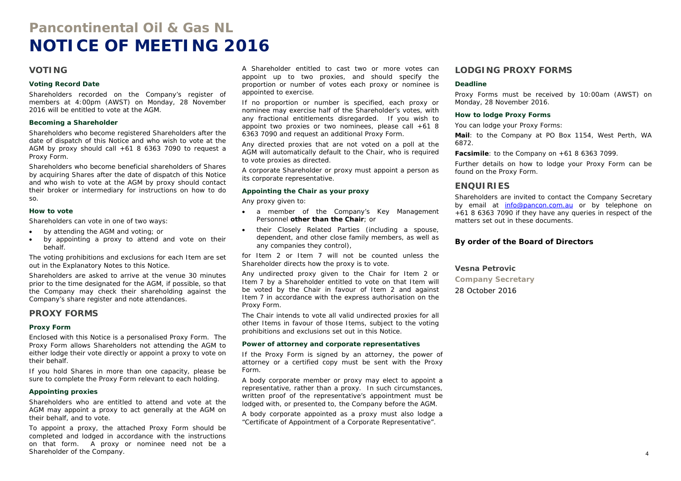# **Pancontinental Oil & Gas NL NOTICE OF MEETING 2016**

### **VOTING**

#### **Voting Record Date**

Shareholders recorded on the Company's register of members at 4:00pm (AWST) on Monday, 28 November 2016 will be entitled to vote at the AGM.

#### **Becoming a Shareholder**

Shareholders who become registered Shareholders after the date of dispatch of this Notice and who wish to vote at the AGM by proxy should call  $+61$  8 6363 7090 to request a Proxy Form.

Shareholders who become beneficial shareholders of Shares by acquiring Shares after the date of dispatch of this Notice and who wish to vote at the AGM by proxy should contact their broker or intermediary for instructions on how to do so.

#### **How to vote**

Shareholders can vote in one of two ways:

- $\bullet$ by attending the AGM and voting; or
- by appointing a proxy to attend and vote on their behalf.

The voting prohibitions and exclusions for each Item are set out in the Explanatory Notes to this Notice.

Shareholders are asked to arrive at the venue 30 minutes prior to the time designated for the AGM, if possible, so that the Company may check their shareholding against the Company's share register and note attendances.

### **PROXY FORMS**

#### **Proxy Form**

Enclosed with this Notice is a personalised Proxy Form. The Proxy Form allows Shareholders not attending the AGM to either lodge their vote directly or appoint a proxy to vote on their behalf.

If you hold Shares in more than one capacity, please be sure to complete the Proxy Form relevant to each holding.

#### **Appointing proxies**

Shareholders who are entitled to attend and vote at the AGM may appoint a proxy to act generally at the AGM on their behalf, and to vote.

To appoint a proxy, the attached Proxy Form should be completed and lodged in accordance with the instructions on that form. A proxy or nominee need not be a Shareholder of the Company.

A Shareholder entitled to cast two or more votes can appoint up to two proxies, and should specify the proportion or number of votes each proxy or nominee is appointed to exercise.

If no proportion or number is specified, each proxy or nominee may exercise half of the Shareholder's votes, with any fractional entitlements disregarded. If you wish to appoint two proxies or two nominees, please call +61 8 6363 7090 and request an additional Proxy Form.

Any directed proxies that are not voted on a poll at the AGM will automatically default to the Chair, who is required to vote proxies as directed.

A corporate Shareholder or proxy must appoint a person as its corporate representative.

#### **Appointing the Chair as your proxy**

Any proxy given to:

- a member of the Company's Key Management Personnel **other than the Chair**; or
- their Closely Related Parties (including a spouse, dependent, and other close family members, as well as any companies they control),

for Item 2 or Item 7 will not be counted unless the Shareholder directs how the proxy is to vote.

Any undirected proxy given to the Chair for Item 2 or Item 7 by a Shareholder entitled to vote on that Item will be voted by the Chair in favour of Item 2 and against Item 7 in accordance with the express authorisation on the Proxy Form.

The Chair intends to vote all valid undirected proxies for all other Items in favour of those Items, subject to the voting prohibitions and exclusions set out in this Notice.

#### **Power of attorney and corporate representatives**

If the Proxy Form is signed by an attorney, the power of attorney or a certified copy must be sent with the Proxy Form.

A body corporate member or proxy may elect to appoint a representative, rather than a proxy. In such circumstances, written proof of the representative's appointment must be lodged with, or presented to, the Company before the AGM.

A body corporate appointed as a proxy must also lodge a "Certificate of Appointment of a Corporate Representative".

### **LODGING PROXY FORMS**

#### **Deadline**

Proxy Forms must be received by 10:00am (AWST) on Monday, 28 November 2016.

#### **How to lodge Proxy Forms**

You can lodge your Proxy Forms:

**Mail**: to the Company at PO Box 1154, West Perth, WA 6872.

**Facsimile**: to the Company on +61 8 6363 7099.

Further details on how to lodge your Proxy Form can be found on the Proxy Form.

### **ENQUIRIES**

Shareholders are invited to contact the Company Secretary by email at info@pancon.com.au or by telephone on +61 8 6363 7090 if they have any queries in respect of the matters set out in these documents.

#### **By order of the Board of Directors**

#### **Vesna Petrovic**

**Company Secretary** 

28 October 2016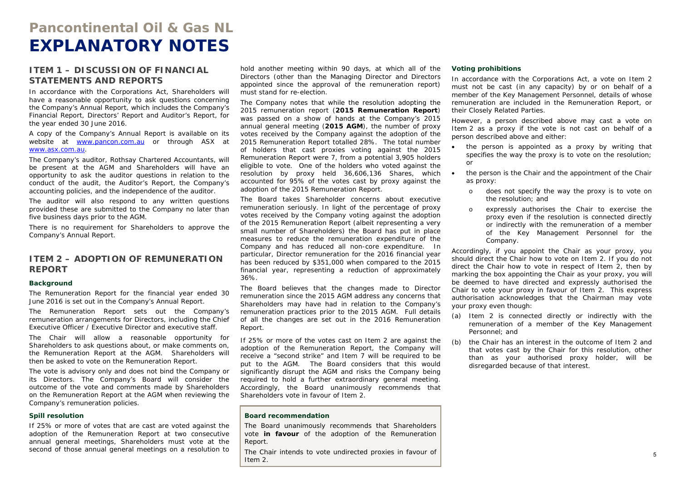# **Pancontinental Oil & Gas NL EXPLANATORY NOTES**

### **ITEM 1 – DISCUSSION OF FINANCIAL STATEMENTS AND REPORTS**

In accordance with the Corporations Act, Shareholders will have a reasonable opportunity to ask questions concerning the Company's Annual Report, which includes the Company's Financial Report, Directors' Report and Auditor's Report, for the year ended 30 June 2016.

A copy of the Company's Annual Report is available on its website at www.pancon.com.au or through ASX at www.asx.com.au.

The Company's auditor, Rothsay Chartered Accountants, will be present at the AGM and Shareholders will have an opportunity to ask the auditor questions in relation to the conduct of the audit, the Auditor's Report, the Company's accounting policies, and the independence of the auditor.

The auditor will also respond to any written questions provided these are submitted to the Company no later than five business days prior to the AGM.

There is no requirement for Shareholders to approve the Company's Annual Report.

### **ITEM 2 – ADOPTION OF REMUNERATION REPORT**

#### **Background**

The Remuneration Report for the financial year ended 30 June 2016 is set out in the Company's Annual Report.

The Remuneration Report sets out the Company's remuneration arrangements for Directors, including the Chief Executive Officer / Executive Director and executive staff.

The Chair will allow a reasonable opportunity for Shareholders to ask questions about, or make comments on, the Remuneration Report at the AGM. Shareholders will then be asked to vote on the Remuneration Report.

The vote is advisory only and does not bind the Company or its Directors. The Company's Board will consider the outcome of the vote and comments made by Shareholders on the Remuneration Report at the AGM when reviewing the Company's remuneration policies.

#### **Spill resolution**

If 25% or more of votes that are cast are voted against the adoption of the Remuneration Report at two consecutive annual general meetings, Shareholders must vote at the second of those annual general meetings on a resolution to

hold another meeting within 90 days, at which all of the Directors (other than the Managing Director and Directors appointed since the approval of the remuneration report) must stand for re-election.

The Company notes that while the resolution adopting the 2015 remuneration report (**2015 Remuneration Report**) was passed on a show of hands at the Company's 2015 annual general meeting (**2015 AGM**), the number of proxy votes received by the Company against the adoption of the 2015 Remuneration Report totalled 28%. The total number of holders that cast proxies voting against the 2015 Remuneration Report were 7, from a potential 3,905 holders eligible to vote. One of the holders who voted against the resolution by proxy held 36,606,136 Shares, which accounted for 95% of the votes cast by proxy against the adoption of the 2015 Remuneration Report.

The Board takes Shareholder concerns about executive remuneration seriously. In light of the percentage of proxy votes received by the Company voting against the adoption of the 2015 Remuneration Report (albeit representing a very small number of Shareholders) the Board has put in place measures to reduce the remuneration expenditure of the Company and has reduced all non-core expenditure. In particular, Director remuneration for the 2016 financial year has been reduced by \$351,000 when compared to the 2015 financial year, representing a reduction of approximately 36%.

The Board believes that the changes made to Director remuneration since the 2015 AGM address any concerns that Shareholders may have had in relation to the Company's remuneration practices prior to the 2015 AGM. Full details of all the changes are set out in the 2016 Remuneration Report.

If 25% or more of the votes cast on Item 2 are against the adoption of the Remuneration Report, the Company will receive a "second strike" and Item 7 will be required to be put to the AGM. The Board considers that this would significantly disrupt the AGM and risks the Company being required to hold a further extraordinary general meeting. Accordingly, the Board unanimously recommends that Shareholders vote in favour of Item 2.

#### **Board recommendation**

The Board unanimously recommends that Shareholders vote **in favour** of the adoption of the Remuneration Report.

The Chair intends to vote undirected proxies in favour of Item 2.

#### **Voting prohibitions**

In accordance with the Corporations Act, a vote on Item 2 must not be cast (in any capacity) by or on behalf of a member of the Key Management Personnel, details of whose remuneration are included in the Remuneration Report, or their Closely Related Parties.

However, a person described above may cast a vote on Item 2 as a proxy if the vote is not cast on behalf of a person described above and either:

- . the person is appointed as a proxy by writing that specifies the way the proxy is to vote on the resolution; or
- the person is the Chair and the appointment of the Chair as proxy:
	- o does not specify the way the proxy is to vote on the resolution; and
	- o expressly authorises the Chair to exercise the proxy even if the resolution is connected directly or indirectly with the remuneration of a member of the Key Management Personnel for the Company.

Accordingly, if you appoint the Chair as your proxy, you should direct the Chair how to vote on Item 2. If you do not direct the Chair how to vote in respect of Item 2, then by marking the box appointing the Chair as your proxy, you will be deemed to have directed and expressly authorised the Chair to vote your proxy in favour of Item 2. This express authorisation acknowledges that the Chairman may vote your proxy even though:

- (a) Item 2 is connected directly or indirectly with the remuneration of a member of the Key Management Personnel; and
- (b) the Chair has an interest in the outcome of Item 2 and that votes cast by the Chair for this resolution, other than as your authorised proxy holder, will be disregarded because of that interest.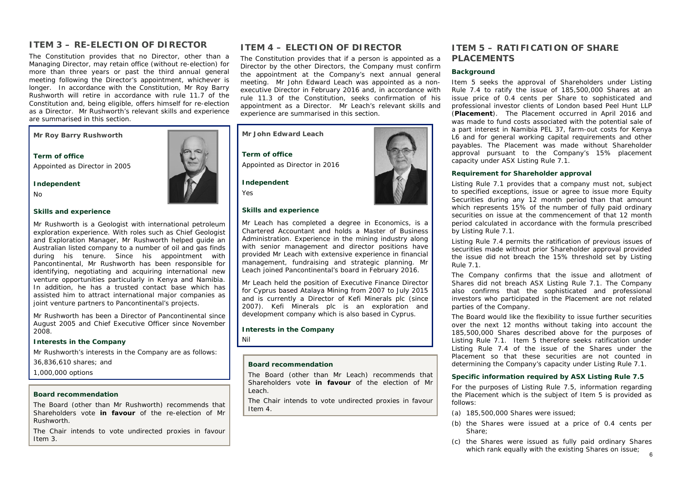# **ITEM 3 – RE-ELECTION OF DIRECTOR**

The Constitution provides that no Director, other than a Managing Director, may retain office (without re-election) for more than three years or past the third annual general meeting following the Director's appointment, whichever is longer. In accordance with the Constitution, Mr Roy Barry Rushworth will retire in accordance with rule 11.7 of the Constitution and, being eligible, offers himself for re-election as a Director. Mr Rushworth's relevant skills and experience are summarised in this section.

**Mr Roy Barry Rushworth** 

**Term of office**Appointed as Director in 2005

**Independent** 

No

#### **Skills and experience**

Mr Rushworth is a Geologist with international petroleum exploration experience. With roles such as Chief Geologist and Exploration Manager, Mr Rushworth helped guide an Australian listed company to a number of oil and gas finds during his tenure. Since his appointment with Pancontinental, Mr Rushworth has been responsible for identifying, negotiating and acquiring international new venture opportunities particularly in Kenya and Namibia. In addition, he has a trusted contact base which has assisted him to attract international major companies as joint venture partners to Pancontinental's projects.

Mr Rushworth has been a Director of Pancontinental since August 2005 and Chief Executive Officer since November 2008.

#### **Interests in the Company**

Mr Rushworth's interests in the Company are as follows:

36,836,610 shares; and

1,000,000 options

#### **Board recommendation**

The Board (other than Mr Rushworth) recommends that Shareholders vote **in favour** of the re-election of Mr Rushworth.

The Chair intends to vote undirected proxies in favour Item 3.

### **ITEM 4 – ELECTION OF DIRECTOR**

The Constitution provides that if a person is appointed as a Director by the other Directors, the Company must confirm the appointment at the Company's next annual general meeting. Mr John Edward Leach was appointed as a nonexecutive Director in February 2016 and, in accordance with rule 11.3 of the Constitution, seeks confirmation of his appointment as a Director. Mr Leach's relevant skills and experience are summarised in this section.



Mr Leach has completed a degree in Economics, is a Chartered Accountant and holds a Master of Business Administration. Experience in the mining industry along with senior management and director positions have provided Mr Leach with extensive experience in financial management, fundraising and strategic planning. Mr Leach joined Pancontinental's board in February 2016.

Mr Leach held the position of Executive Finance Director for Cyprus based Atalaya Mining from 2007 to July 2015 and is currently a Director of Kefi Minerals plc (since 2007). Kefi Minerals plc is an exploration and development company which is also based in Cyprus.

**Interests in the Company** 

Nil

#### **Board recommendation**

The Board (other than Mr Leach) recommends that Shareholders vote **in favour** of the election of Mr Leach.

The Chair intends to vote undirected proxies in favour Item 4.

### **ITEM 5 – RATIFICATION OF SHARE PLACEMENTS**

#### **Background**

Item 5 seeks the approval of Shareholders under Listing Rule 7.4 to ratify the issue of 185,500,000 Shares at an issue price of 0.4 cents per Share to sophisticated and professional investor clients of London based Peel Hunt LLP (**Placement**). The Placement occurred in April 2016 and was made to fund costs associated with the potential sale of a part interest in Namibia PEL 37, farm-out costs for Kenya L6 and for general working capital requirements and other payables. The Placement was made without Shareholder approval pursuant to the Company's 15% placement capacity under ASX Listing Rule 7.1.

#### **Requirement for Shareholder approval**

Listing Rule 7.1 provides that a company must not, subject to specified exceptions, issue or agree to issue more Equity Securities during any 12 month period than that amount which represents 15% of the number of fully paid ordinary securities on issue at the commencement of that 12 month period calculated in accordance with the formula prescribed by Listing Rule 7.1.

Listing Rule 7.4 permits the ratification of previous issues of securities made without prior Shareholder approval provided the issue did not breach the 15% threshold set by Listing Rule 7.1.

The Company confirms that the issue and allotment of Shares did not breach ASX Listing Rule 7.1. The Company also confirms that the sophisticated and professional investors who participated in the Placement are not related parties of the Company.

The Board would like the flexibility to issue further securities over the next 12 months without taking into account the 185,500,000 Shares described above for the purposes of Listing Rule 7.1. Item 5 therefore seeks ratification under Listing Rule 7.4 of the issue of the Shares under the Placement so that these securities are not counted in determining the Company's capacity under Listing Rule 7.1.

#### **Specific information required by ASX Listing Rule 7.5**

For the purposes of Listing Rule 7.5, information regarding the Placement which is the subject of Item 5 is provided as follows:

- (a) 185,500,000 Shares were issued;
- (b) the Shares were issued at a price of 0.4 cents per Share;
- 6 (c) the Shares were issued as fully paid ordinary Shares which rank equally with the existing Shares on issue;

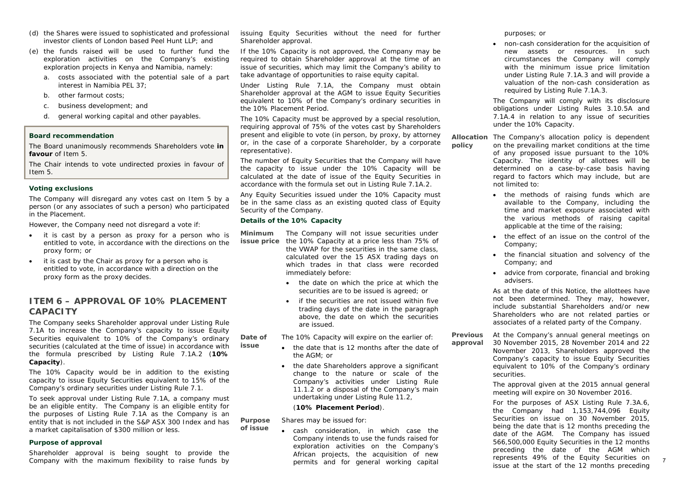- (d) the Shares were issued to sophisticated and professional investor clients of London based Peel Hunt LLP; and
- (e) the funds raised will be used to further fund the exploration activities on the Company's existing exploration projects in Kenya and Namibia, namely:
	- a. costs associated with the potential sale of a part interest in Namibia PEL 37;
	- b. other farmout costs;
	- c. business development; and
	- d. general working capital and other payables.

#### **Board recommendation**

The Board unanimously recommends Shareholders vote **in favour** of Item 5.

The Chair intends to vote undirected proxies in favour of Item 5.

#### **Voting exclusions**

The Company will disregard any votes cast on Item 5 by a person (or any associates of such a person) who participated in the Placement.

However, the Company need not disregard a vote if:

- it is cast by a person as proxy for a person who is entitled to vote, in accordance with the directions on the proxy form; or
- it is cast by the Chair as proxy for a person who is entitled to vote, in accordance with a direction on the proxy form as the proxy decides.

### **ITEM 6 – APPROVAL OF 10% PLACEMENT CAPACITY**

The Company seeks Shareholder approval under Listing Rule 7.1A to increase the Company's capacity to issue Equity Securities equivalent to 10% of the Company's ordinary securities (calculated at the time of issue) in accordance with the formula prescribed by Listing Rule 7.1A.2 (**10% Capacity**).

The 10% Capacity would be in addition to the existing capacity to issue Equity Securities equivalent to 15% of the Company's ordinary securities under Listing Rule 7.1.

To seek approval under Listing Rule 7.1A, a company must be an eligible entity. The Company is an eligible entity for the purposes of Listing Rule 7.1A as the Company is an entity that is not included in the S&P ASX 300 Index and has a market capitalisation of \$300 million or less.

#### **Purpose of approval**

Shareholder approval is being sought to provide the Company with the maximum flexibility to raise funds by issuing Equity Securities without the need for further Shareholder approval.

If the 10% Capacity is not approved, the Company may be required to obtain Shareholder approval at the time of an issue of securities, which may limit the Company's ability to take advantage of opportunities to raise equity capital.

Under Listing Rule 7.1A, the Company must obtain Shareholder approval at the AGM to issue Equity Securities equivalent to 10% of the Company's ordinary securities in the 10% Placement Period.

The 10% Capacity must be approved by a special resolution, requiring approval of 75% of the votes cast by Shareholders present and eligible to vote (in person, by proxy, by attorney or, in the case of a corporate Shareholder, by a corporate representative).

The number of Equity Securities that the Company will have the capacity to issue under the 10% Capacity will be calculated at the date of issue of the Equity Securities in accordance with the formula set out in Listing Rule 7.1A.2.

Any Equity Securities issued under the 10% Capacity must be in the same class as an existing quoted class of Equity Security of the Company.

#### **Details of the 10% Capacity**

**issue** 

**Minimum issue price** the 10% Capacity at a price less than 75% of The Company will not issue securities under

the VWAP for the securities in the same class, calculated over the 15 ASX trading days on which trades in that class were recorded immediately before:

- the date on which the price at which the securities are to be issued is agreed; or
- if the securities are not issued within five trading days of the date in the paragraph above, the date on which the securities are issued.

**Date of** The 10% Capacity will expire on the earlier of:

- the date that is 12 months after the date of the AGM; or
- the date Shareholders approve a significant change to the nature or scale of the Company's activities under Listing Rule 11.1.2 or a disposal of the Company's main undertaking under Listing Rule 11.2,

#### (**10% Placement Period**).

**Purpose of issue** Shares may be issued for:

 cash consideration, in which case the Company intends to use the funds raised for exploration activities on the Company's African projects, the acquisition of new permits and for general working capital

purposes; or

 non-cash consideration for the acquisition of new assets or resources. In such circumstances the Company will comply with the minimum issue price limitation under Listing Rule 7.1A.3 and will provide a valuation of the non-cash consideration as required by Listing Rule 7.1A.3.

The Company will comply with its disclosure obligations under Listing Rules 3.10.5A and 7.1A.4 in relation to any issue of securities under the 10% Capacity.

**Allocation** The Company's allocation policy is dependent **policy**  on the prevailing market conditions at the time of any proposed issue pursuant to the 10% Capacity. The identity of allottees will be determined on a case-by-case basis having regard to factors which may include, but are not limited to:

- the methods of raising funds which are available to the Company, including the time and market exposure associated with the various methods of raising capital applicable at the time of the raising;
- the effect of an issue on the control of the Company;
- the financial situation and solvency of the Company; and
- advice from corporate, financial and broking advisers.

As at the date of this Notice, the allottees have not been determined. They may, however, include substantial Shareholders and/or new Shareholders who are not related parties or associates of a related party of the Company.

**Previous approval**  At the Company's annual general meetings on 30 November 2015, 28 November 2014 and 22 November 2013, Shareholders approved the Company's capacity to issue Equity Securities equivalent to 10% of the Company's ordinary securities.

> The approval given at the 2015 annual general meeting will expire on 30 November 2016.

For the purposes of ASX Listing Rule 7.3A.6, the Company had 1,153,744,096 Equity Securities on issue on 30 November 2015, being the date that is 12 months preceding the date of the AGM. The Company has issued 566,500,000 Equity Securities in the 12 months preceding the date of the AGM which represents 49% of the Equity Securities on issue at the start of the 12 months preceding

7 7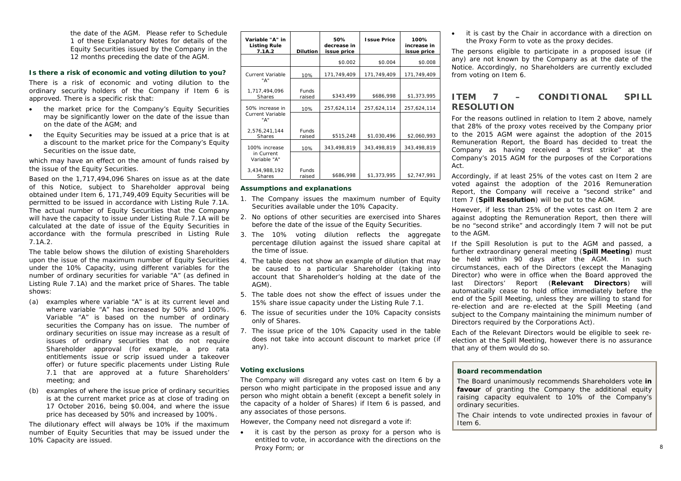the date of the AGM. Please refer to Schedule 1 of these Explanatory Notes for details of the Equity Securities issued by the Company in the 12 months preceding the date of the AGM.

#### **Is there a risk of economic and voting dilution to you?**

There is a risk of economic and voting dilution to the ordinary security holders of the Company if Item 6 is approved. There is a specific risk that:

- the market price for the Company's Equity Securities may be significantly lower on the date of the issue than on the date of the AGM; and
- the Equity Securities may be issued at a price that is at a discount to the market price for the Company's Equity Securities on the issue date,

which may have an effect on the amount of funds raised by the issue of the Equity Securities.

Based on the 1,717,494,096 Shares on issue as at the date of this Notice, subject to Shareholder approval being obtained under Item 6, 171,749,409 Equity Securities will be permitted to be issued in accordance with Listing Rule 7.1A. The actual number of Equity Securities that the Company will have the capacity to issue under Listing Rule 7.1A will be calculated at the date of issue of the Equity Securities in accordance with the formula prescribed in Listing Rule 7.1A.2.

The table below shows the dilution of existing Shareholders upon the issue of the maximum number of Equity Securities under the 10% Capacity, using different variables for the number of ordinary securities for variable "A" (as defined in Listing Rule 7.1A) and the market price of Shares. The table shows:

- (a) examples where variable "A" is at its current level and where variable "A" has increased by 50% and 100%. Variable "A" is based on the number of ordinary securities the Company has on issue. The number of ordinary securities on issue may increase as a result of issues of ordinary securities that do not require Shareholder approval (for example, a pro rata entitlements issue or scrip issued under a takeover offer) or future specific placements under Listing Rule 7.1 that are approved at a future Shareholders' meeting; and
- (b) examples of where the issue price of ordinary securities is at the current market price as at close of trading on 17 October 2016, being \$0.004, and where the issue price has deceased by 50% and increased by 100%.

The dilutionary effect will always be 10% if the maximum number of Equity Securities that may be issued under the 10% Capacity are issued.

| Variable "A" in<br><b>Listing Rule</b><br>7.1A.2 | <b>Dilution</b>        | 50%<br>decrease in<br>issue price | <b>Issue Price</b> | 100%<br>increase in<br>issue price |
|--------------------------------------------------|------------------------|-----------------------------------|--------------------|------------------------------------|
|                                                  |                        | \$0.002                           | \$0.004            | \$0.008                            |
| <b>Current Variable</b>                          | 10%                    | 171,749,409                       | 171,749,409        | 171,749,409                        |
| "А"<br>1,717,494,096<br><b>Shares</b>            | <b>Funds</b><br>raised | \$343,499                         | \$686,998          | \$1,373,995                        |
| 50% increase in<br><b>Current Variable</b>       | 10%                    | 257,624,114                       | 257,624,114        | 257,624,114                        |
| "А"<br>2,576,241,144<br><b>Shares</b>            | <b>Funds</b><br>raised | \$515,248                         | \$1,030,496        | \$2,060.993                        |
| 100% increase                                    | 10%                    | 343.498.819                       | 343,498,819        | 343.498.819                        |
| in Current<br>Variable "A"                       |                        |                                   |                    |                                    |
| 3,434,988,192<br><b>Shares</b>                   | <b>Funds</b><br>raised | \$686,998                         | \$1,373,995        | \$2,747,991                        |

#### **Assumptions and explanations**

- 1. The Company issues the maximum number of Equity Securities available under the 10% Capacity.
- 2. No options of other securities are exercised into Shares before the date of the issue of the Equity Securities.
- 3. The 10% voting dilution reflects the aggregate percentage dilution against the issued share capital at the time of issue.
- 4. The table does not show an example of dilution that may be caused to a particular Shareholder (taking into account that Shareholder's holding at the date of the AGM).
- 5. The table does not show the effect of issues under the 15% share issue capacity under the Listing Rule 7.1.
- 6. The issue of securities under the 10% Capacity consists only of Shares.
- 7. The issue price of the 10% Capacity used in the table does not take into account discount to market price (if any).

#### **Voting exclusions**

The Company will disregard any votes cast on Item 6 by a person who might participate in the proposed issue and any person who might obtain a benefit (except a benefit solely in the capacity of a holder of Shares) if Item 6 is passed, and any associates of those persons.

However, the Company need not disregard a vote if:

• it is cast by the person as proxy for a person who is entitled to vote, in accordance with the directions on the Proxy Form; or

• it is cast by the Chair in accordance with a direction on the Proxy Form to vote as the proxy decides.

The persons eligible to participate in a proposed issue (if any) are not known by the Company as at the date of the Notice. Accordingly, no Shareholders are currently excluded from voting on Item 6.

## **ITEM 7 – CONDITIONAL SPILL RESOLUTION**

For the reasons outlined in relation to Item 2 above, namely that 28% of the proxy votes received by the Company prior to the 2015 AGM were against the adoption of the 2015 Remuneration Report, the Board has decided to treat the Company as having received a "first strike" at the Company's 2015 AGM for the purposes of the Corporations Act.

Accordingly, if at least 25% of the votes cast on Item 2 are voted against the adoption of the 2016 Remuneration Report, the Company will receive a "second strike" and Item 7 (**Spill Resolution**) will be put to the AGM.

However, if less than 25% of the votes cast on Item 2 are against adopting the Remuneration Report, then there will be no "second strike" and accordingly Item 7 will not be put to the AGM.

If the Spill Resolution is put to the AGM and passed, a further extraordinary general meeting (**Spill Meeting**) must be held within 90 days after the AGM. In such circumstances, each of the Directors (except the Managing Director) who were in office when the Board approved the last Directors' Report (**Relevant Directors**) will automatically cease to hold office immediately before the end of the Spill Meeting, unless they are willing to stand for re-election and are re-elected at the Spill Meeting (and subject to the Company maintaining the minimum number of Directors required by the Corporations Act).

Each of the Relevant Directors would be eligible to seek reelection at the Spill Meeting, however there is no assurance that any of them would do so.

#### **Board recommendation**

The Board unanimously recommends Shareholders vote **in favour** of granting the Company the additional equity raising capacity equivalent to 10% of the Company's ordinary securities.

The Chair intends to vote undirected proxies in favour of Item 6.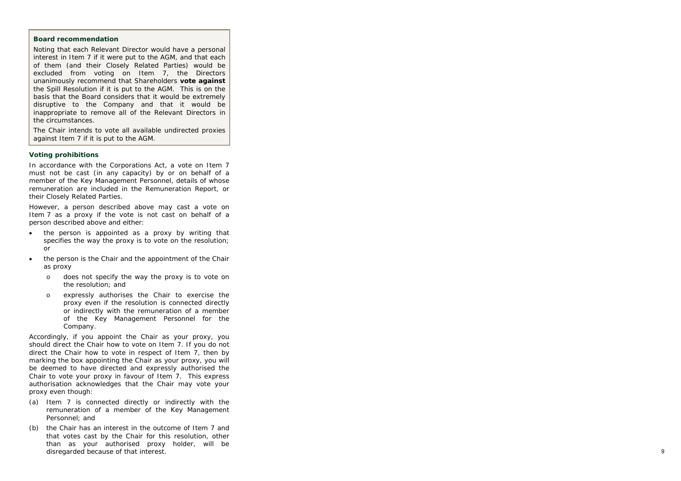#### **Board recommendation**

Noting that each Relevant Director would have a personal interest in Item 7 if it were put to the AGM, and that each of them (and their Closely Related Parties) would be excluded from voting on Item 7, the Directors unanimously recommend that Shareholders **vote against** the Spill Resolution if it is put to the AGM. This is on the basis that the Board considers that it would be extremely disruptive to the Company and that it would be inappropriate to remove all of the Relevant Directors in the circumstances.

The Chair intends to vote all available undirected proxies against Item 7 if it is put to the AGM.

#### **Voting prohibitions**

In accordance with the Corporations Act, a vote on Item 7 must not be cast (in any capacity) by or on behalf of a member of the Key Management Personnel, details of whose remuneration are included in the Remuneration Report, or their Closely Related Parties.

However, a person described above may cast a vote on Item 7 as a proxy if the vote is not cast on behalf of a person described above and either:

- the person is appointed as a proxy by writing that specifies the way the proxy is to vote on the resolution; or
- $\bullet$  the person is the Chair and the appointment of the Chair as proxy
	- o does not specify the way the proxy is to vote on the resolution; and
	- o expressly authorises the Chair to exercise the proxy even if the resolution is connected directly or indirectly with the remuneration of a member of the Key Management Personnel for the Company.

Accordingly, if you appoint the Chair as your proxy, you should direct the Chair how to vote on Item 7. If you do not direct the Chair how to vote in respect of Item 7, then by marking the box appointing the Chair as your proxy, you will be deemed to have directed and expressly authorised the Chair to vote your proxy in favour of Item 7. This express authorisation acknowledges that the Chair may vote your proxy even though:

- (a) Item 7 is connected directly or indirectly with the remuneration of a member of the Key Management Personnel; and
- (b) the Chair has an interest in the outcome of Item 7 and that votes cast by the Chair for this resolution, other than as your authorised proxy holder, will be disregarded because of that interest.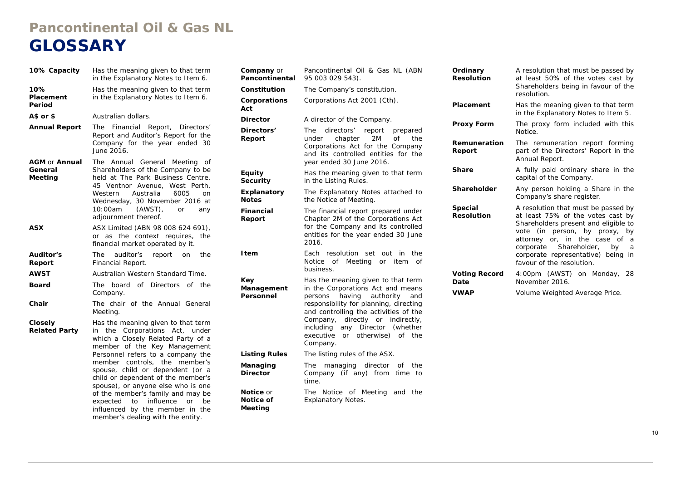# **Pancontinental Oil & Gas NL GLOSSARY**

| 10% Capacity                               | Has the meaning given to that term<br>in the Explanatory Notes to Item 6.                                                                                                                                                                                                                                                                                                                                                                            |  |  |  |
|--------------------------------------------|------------------------------------------------------------------------------------------------------------------------------------------------------------------------------------------------------------------------------------------------------------------------------------------------------------------------------------------------------------------------------------------------------------------------------------------------------|--|--|--|
| 10%<br>Placement<br>Period                 | Has the meaning given to that term<br>in the Explanatory Notes to Item 6.                                                                                                                                                                                                                                                                                                                                                                            |  |  |  |
| $A$$ or $$$                                | Australian dollars.                                                                                                                                                                                                                                                                                                                                                                                                                                  |  |  |  |
| <b>Annual Report</b>                       | The Financial Report, Directors'<br>Report and Auditor's Report for the<br>Company for the year ended 30<br>June 2016.                                                                                                                                                                                                                                                                                                                               |  |  |  |
| <b>AGM or Annual</b><br>General<br>Meeting | The Annual General<br>Meeting<br>οf<br>Shareholders of the Company to be<br>held at The Park Business Centre,<br>45 Ventnor Avenue, West Perth,<br>Australia<br>Western<br>6005<br>on<br>Wednesday, 30 November 2016 at<br>10:00am<br>(AWST),<br>or<br>any<br>adjournment thereof.                                                                                                                                                                   |  |  |  |
| ASX                                        | ASX Limited (ABN 98 008 624 691),<br>or as the context requires,<br>the<br>financial market operated by it.                                                                                                                                                                                                                                                                                                                                          |  |  |  |
| <b>Auditor's</b><br>Report                 | The<br>the<br>auditor's<br>report<br>on<br>Financial Report.                                                                                                                                                                                                                                                                                                                                                                                         |  |  |  |
| <b>AWST</b>                                | Australian Western Standard Time.                                                                                                                                                                                                                                                                                                                                                                                                                    |  |  |  |
| Board                                      | The<br>board<br>of Directors of<br>the<br>Company.                                                                                                                                                                                                                                                                                                                                                                                                   |  |  |  |
| Chair                                      | The chair of the Annual General<br>Meeting.                                                                                                                                                                                                                                                                                                                                                                                                          |  |  |  |
| Closely<br><b>Related Party</b>            | Has the meaning given to that term<br>in the Corporations Act, under<br>which a Closely Related Party of a<br>member of the Key Management<br>Personnel refers to a company the<br>member controls, the member's<br>spouse, child or dependent (or a<br>child or dependent of the member's<br>spouse), or anyone else who is one<br>of the member's family and may be<br>expected to influence<br><b>or</b><br>be<br>influenced by the member in the |  |  |  |

member's dealing with the entity.

| Company or<br><b>Pancontinental</b> | Pancontinental Oil & Gas NL (ABN<br>95 003 029 543).                                                                                                                                                                                                                                                                                    |  |  |  |  |
|-------------------------------------|-----------------------------------------------------------------------------------------------------------------------------------------------------------------------------------------------------------------------------------------------------------------------------------------------------------------------------------------|--|--|--|--|
| Constitution                        | The Company's constitution.                                                                                                                                                                                                                                                                                                             |  |  |  |  |
| Corporations<br>Act                 | Corporations Act 2001 (Cth).                                                                                                                                                                                                                                                                                                            |  |  |  |  |
| <b>Director</b>                     | A director of the Company.                                                                                                                                                                                                                                                                                                              |  |  |  |  |
| Directors'<br>Report                | directors'<br>report<br>The<br>prepared<br>chapter<br>2M<br>of<br>under<br>the<br>Corporations Act for the Company<br>and its controlled entities for the<br>year ended 30 June 2016.                                                                                                                                                   |  |  |  |  |
| <b>Equity</b><br>Security           | Has the meaning given to that term<br>in the Listing Rules.                                                                                                                                                                                                                                                                             |  |  |  |  |
| Explanatory<br><b>Notes</b>         | The Explanatory Notes attached to<br>the Notice of Meeting.                                                                                                                                                                                                                                                                             |  |  |  |  |
| Financial<br>Report                 | The financial report prepared under<br>Chapter 2M of the Corporations Act<br>for the Company and its controlled<br>entities for the year ended 30 June<br>2016.                                                                                                                                                                         |  |  |  |  |
| ltem                                | Each resolution<br>set<br>out<br>in<br>the<br>Notice<br>of<br>Meeting<br>of<br>or<br>item<br>business.                                                                                                                                                                                                                                  |  |  |  |  |
| Key<br>Management<br>Personnel      | Has the meaning given to that term<br>in the Corporations Act and means<br>having<br>authority<br>persons<br>and<br>responsibility for planning, directing<br>and controlling the activities of the<br>directly or indirectly,<br>Company,<br>any Director (whether<br>including<br>or otherwise)<br>executive<br>of<br>the<br>Company. |  |  |  |  |
| <b>Listing Rules</b>                | The listing rules of the ASX.                                                                                                                                                                                                                                                                                                           |  |  |  |  |
| Managing<br><b>Director</b>         | managing director of<br>The<br>the<br>Company (if any) from<br>time<br>to<br>time.                                                                                                                                                                                                                                                      |  |  |  |  |
| Notice or<br>Notice of<br>Meeting   | The Notice of Meeting<br>and<br>the<br><b>Explanatory Notes.</b>                                                                                                                                                                                                                                                                        |  |  |  |  |

| Ordinary<br><b>Resolution</b>       | A resolution that must be passed by<br>at least 50% of the votes cast by<br>Shareholders being in favour of the<br>resolution.                                                                                                                                                                   |
|-------------------------------------|--------------------------------------------------------------------------------------------------------------------------------------------------------------------------------------------------------------------------------------------------------------------------------------------------|
| Placement                           | Has the meaning given to that term<br>in the Explanatory Notes to Item 5.                                                                                                                                                                                                                        |
| <b>Proxy Form</b>                   | The proxy form included with this<br>Notice.                                                                                                                                                                                                                                                     |
| Remuneration<br>Report              | The remuneration report forming<br>part of the Directors' Report in the<br>Annual Report.                                                                                                                                                                                                        |
| <b>Share</b>                        | A fully paid ordinary share in the<br>capital of the Company.                                                                                                                                                                                                                                    |
| Shareholder                         | Any person holding a Share in the<br>Company's share register.                                                                                                                                                                                                                                   |
| <b>Special</b><br><b>Resolution</b> | A resolution that must be passed by<br>at least 75% of the votes cast by<br>Shareholders present and eligible to<br>vote (in person, by proxy, by<br>attorney or, in the case of<br>a<br>corporate<br>Shareholder,<br>by<br>a<br>corporate representative) being in<br>favour of the resolution. |
| <b>Voting Record</b><br>Date        | 4:00pm (AWST) on Monday,<br>-28<br>November 2016.                                                                                                                                                                                                                                                |
| <b>VWAP</b>                         | Volume Weighted Average Price.                                                                                                                                                                                                                                                                   |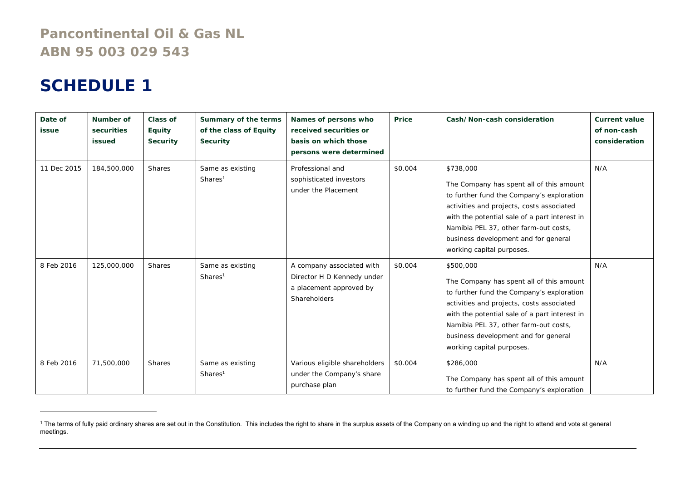# **Pancontinental Oil & Gas NL ABN 95 003 029 543**

# **SCHEDULE 1**

| Date of<br>issue | Number of<br>securities<br>issued | Class of<br>Equity<br><b>Security</b> | Summary of the terms<br>of the class of Equity<br><b>Security</b> | Names of persons who<br>received securities or<br>basis on which those<br>persons were determined  | Price   | Cash/Non-cash consideration                                                                                                                                                                                                                                                                                    | <b>Current value</b><br>of non-cash<br>consideration |
|------------------|-----------------------------------|---------------------------------------|-------------------------------------------------------------------|----------------------------------------------------------------------------------------------------|---------|----------------------------------------------------------------------------------------------------------------------------------------------------------------------------------------------------------------------------------------------------------------------------------------------------------------|------------------------------------------------------|
| 11 Dec 2015      | 184,500,000                       | <b>Shares</b>                         | Same as existing<br>Shares <sup>1</sup>                           | Professional and<br>sophisticated investors<br>under the Placement                                 | \$0.004 | \$738,000<br>The Company has spent all of this amount<br>to further fund the Company's exploration<br>activities and projects, costs associated<br>with the potential sale of a part interest in<br>Namibia PEL 37, other farm-out costs,<br>business development and for general<br>working capital purposes. | N/A                                                  |
| 8 Feb 2016       | 125,000,000                       | <b>Shares</b>                         | Same as existing<br>Shares <sup>1</sup>                           | A company associated with<br>Director H D Kennedy under<br>a placement approved by<br>Shareholders | \$0.004 | \$500,000<br>The Company has spent all of this amount<br>to further fund the Company's exploration<br>activities and projects, costs associated<br>with the potential sale of a part interest in<br>Namibia PEL 37, other farm-out costs,<br>business development and for general<br>working capital purposes. | N/A                                                  |
| 8 Feb 2016       | 71,500,000                        | <b>Shares</b>                         | Same as existing<br>Shares <sup>1</sup>                           | Various eligible shareholders<br>under the Company's share<br>purchase plan                        | \$0.004 | \$286,000<br>The Company has spent all of this amount<br>to further fund the Company's exploration                                                                                                                                                                                                             | N/A                                                  |

<sup>&</sup>lt;sup>1</sup> The terms of fully paid ordinary shares are set out in the Constitution. This includes the right to share in the surplus assets of the Company on a winding up and the right to attend and vote at general meetings.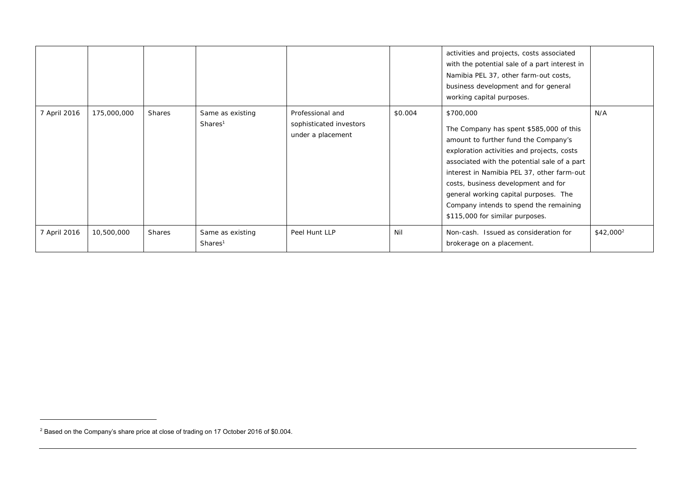|              |             |        |                                         |                                                                  |         | activities and projects, costs associated<br>with the potential sale of a part interest in<br>Namibia PEL 37, other farm-out costs,<br>business development and for general<br>working capital purposes.                                                                                                                                                                                              |                       |
|--------------|-------------|--------|-----------------------------------------|------------------------------------------------------------------|---------|-------------------------------------------------------------------------------------------------------------------------------------------------------------------------------------------------------------------------------------------------------------------------------------------------------------------------------------------------------------------------------------------------------|-----------------------|
| 7 April 2016 | 175,000,000 | Shares | Same as existing<br>Shares <sup>1</sup> | Professional and<br>sophisticated investors<br>under a placement | \$0.004 | \$700,000<br>The Company has spent \$585,000 of this<br>amount to further fund the Company's<br>exploration activities and projects, costs<br>associated with the potential sale of a part<br>interest in Namibia PEL 37, other farm-out<br>costs, business development and for<br>general working capital purposes. The<br>Company intends to spend the remaining<br>\$115,000 for similar purposes. | N/A                   |
| 7 April 2016 | 10,500,000  | Shares | Same as existing<br>Shares <sup>1</sup> | Peel Hunt LLP                                                    | Nil     | Non-cash. Issued as consideration for<br>brokerage on a placement.                                                                                                                                                                                                                                                                                                                                    | \$42,000 <sup>2</sup> |

<sup>&</sup>lt;sup>2</sup> Based on the Company's share price at close of trading on 17 October 2016 of \$0.004.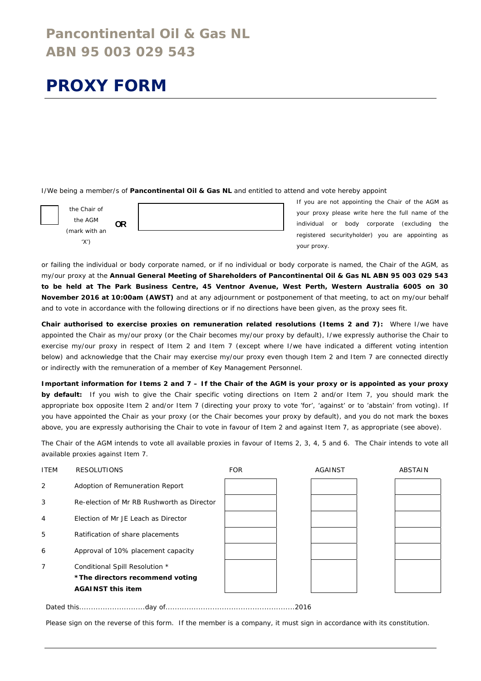# **Pancontinental Oil & Gas NL ABN 95 003 029 543**

# **PROXY FORM**

I/We being a member/s of **Pancontinental Oil & Gas NL** and entitled to attend and vote hereby appoint



the AGM (mark with an  $'Y'$ 



If you are not appointing the Chair of the AGM as your proxy please write here the full name of the individual or body corporate (excluding the registered securityholder) you are appointing as your proxy.

or failing the individual or body corporate named, or if no individual or body corporate is named, the Chair of the AGM, as my/our proxy at the **Annual General Meeting of Shareholders of Pancontinental Oil & Gas NL ABN 95 003 029 543 to be held at The Park Business Centre, 45 Ventnor Avenue, West Perth, Western Australia 6005 on 30 November 2016 at 10:00am (AWST)** and at any adjournment or postponement of that meeting, to act on my/our behalf and to vote in accordance with the following directions or if no directions have been given, as the proxy sees fit.

**Chair authorised to exercise proxies on remuneration related resolutions (Items 2 and 7):** Where I/we have appointed the Chair as my/our proxy (or the Chair becomes my/our proxy by default), I/we expressly authorise the Chair to exercise my/our proxy in respect of Item 2 and Item 7 (except where I/we have indicated a different voting intention below) and acknowledge that the Chair may exercise my/our proxy even though Item 2 and Item 7 are connected directly or indirectly with the remuneration of a member of Key Management Personnel.

**Important information for Items 2 and 7 – If the Chair of the AGM is your proxy or is appointed as your proxy by default:** If you wish to give the Chair specific voting directions on Item 2 and/or Item 7, you should mark the appropriate box opposite Item 2 and/or Item 7 (directing your proxy to vote 'for', 'against' or to 'abstain' from voting). If you have appointed the Chair as your proxy (or the Chair becomes your proxy by default), and you do not mark the boxes above, you are expressly authorising the Chair to vote in favour of Item 2 and against Item 7, as appropriate (see above).

The Chair of the AGM intends to vote all available proxies in favour of Items 2, 3, 4, 5 and 6. The Chair intends to vote all available proxies against Item 7.



Please sign on the reverse of this form. If the member is a company, it must sign in accordance with its constitution.